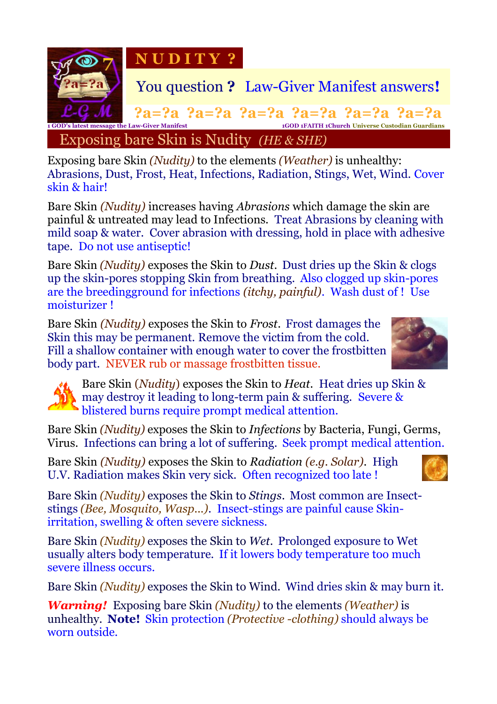

Exposing bare Skin *(Nudity)* to the elements *(Weather)* is unhealthy: Abrasions, Dust, Frost, Heat, Infections, Radiation, Stings, Wet, Wind. Cover skin & hair!

Bare Skin *(Nudity)* increases having *Abrasions* which damage the skin are painful & untreated may lead to Infections. Treat Abrasions by cleaning with mild soap & water. Cover abrasion with dressing, hold in place with adhesive tape. Do not use antiseptic!

Bare Skin *(Nudity)* exposes the Skin to *Dust*. Dust dries up the Skin & clogs up the skin-pores stopping Skin from breathing. Also clogged up skin-pores are the breedingground for infections *(itchy, painful)*. Wash dust of ! Use moisturizer !

Bare Skin *(Nudity)* exposes the Skin to *Frost*. Frost damages the Skin this may be permanent. Remove the victim from the cold. Fill a shallow container with enough water to cover the frostbitten body part.NEVER rub or massage frostbitten tissue.





Bare Skin (*Nudity*) exposes the Skin to *Heat*. Heat dries up Skin & may destroy it leading to long-term pain & suffering. Severe & blistered burns require prompt medical attention.

Bare Skin *(Nudity)* exposes the Skin to *Infections* by Bacteria, Fungi, Germs, Virus. Infections can bring a lot of suffering. Seek prompt medical attention.

Bare Skin *(Nudity)* exposes the Skin to *Radiation (e.g. Solar)*. High U.V. Radiation makes Skin very sick. Often recognized too late !



Bare Skin *(Nudity)* exposes the Skin to *Stings*. Most common are Insectstings *(Bee, Mosquito, Wasp...).* Insect-stings are painful cause Skinirritation, swelling & often severe sickness.

Bare Skin *(Nudity)* exposes the Skin to *Wet*. Prolonged exposure to Wet usually alters body temperature. If it lowers body temperature too much severe illness occurs.

Bare Skin *(Nudity)* exposes the Skin to Wind. Wind dries skin & may burn it.

*Warning!* Exposing bare Skin *(Nudity)* to the elements *(Weather)* is unhealthy. **Note!** Skin protection *(Protective -clothing)* should always be worn outside.